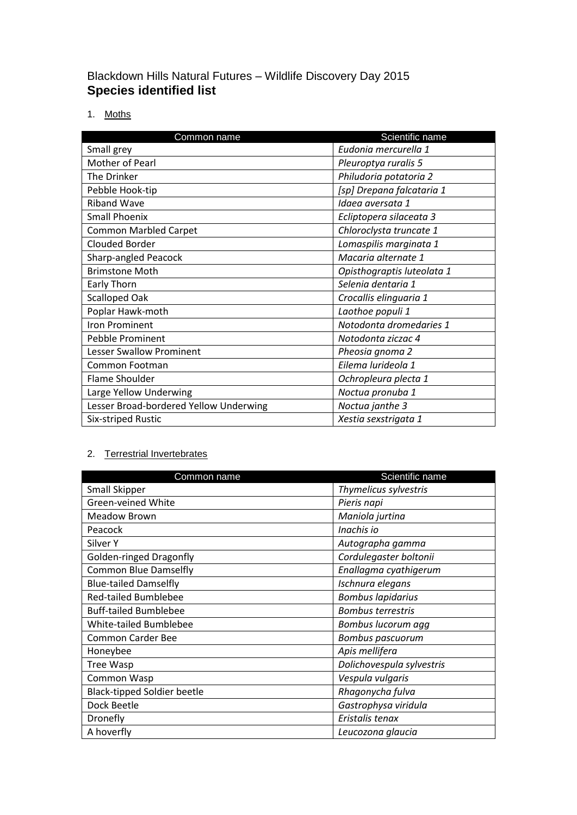# Blackdown Hills Natural Futures – Wildlife Discovery Day 2015 **Species identified list**

1. Moths

| Common name                            | Scientific name            |
|----------------------------------------|----------------------------|
| Small grey                             | Eudonia mercurella 1       |
| Mother of Pearl                        | Pleuroptya ruralis 5       |
| The Drinker                            | Philudoria potatoria 2     |
| Pebble Hook-tip                        | [sp] Drepana falcataria 1  |
| <b>Riband Wave</b>                     | Idaea aversata 1           |
| <b>Small Phoenix</b>                   | Ecliptopera silaceata 3    |
| <b>Common Marbled Carpet</b>           | Chloroclysta truncate 1    |
| <b>Clouded Border</b>                  | Lomaspilis marginata 1     |
| <b>Sharp-angled Peacock</b>            | Macaria alternate 1        |
| <b>Brimstone Moth</b>                  | Opisthograptis luteolata 1 |
| Early Thorn                            | Selenia dentaria 1         |
| <b>Scalloped Oak</b>                   | Crocallis elinguaria 1     |
| Poplar Hawk-moth                       | Laothoe populi 1           |
| <b>Iron Prominent</b>                  | Notodonta dromedaries 1    |
| <b>Pebble Prominent</b>                | Notodonta ziczac 4         |
| <b>Lesser Swallow Prominent</b>        | Pheosia gnoma 2            |
| Common Footman                         | Eilema lurideola 1         |
| Flame Shoulder                         | Ochropleura plecta 1       |
| Large Yellow Underwing                 | Noctua pronuba 1           |
| Lesser Broad-bordered Yellow Underwing | Noctua janthe 3            |
| Six-striped Rustic                     | Xestia sexstrigata 1       |

# 2. Terrestrial Invertebrates

| Common name                        | Scientific name           |
|------------------------------------|---------------------------|
| <b>Small Skipper</b>               | Thymelicus sylvestris     |
| Green-veined White                 | Pieris napi               |
| <b>Meadow Brown</b>                | Maniola jurtina           |
| Peacock                            | Inachis io                |
| Silver Y                           | Autographa gamma          |
| Golden-ringed Dragonfly            | Cordulegaster boltonii    |
| <b>Common Blue Damselfly</b>       | Enallagma cyathigerum     |
| <b>Blue-tailed Damselfly</b>       | Ischnura elegans          |
| <b>Red-tailed Bumblebee</b>        | <b>Bombus lapidarius</b>  |
| <b>Buff-tailed Bumblebee</b>       | <b>Bombus terrestris</b>  |
| White-tailed Bumblebee             | Bombus lucorum agg        |
| <b>Common Carder Bee</b>           | <b>Bombus pascuorum</b>   |
| Honeybee                           | Apis mellifera            |
| Tree Wasp                          | Dolichovespula sylvestris |
| Common Wasp                        | Vespula vulgaris          |
| <b>Black-tipped Soldier beetle</b> | Rhagonycha fulva          |
| Dock Beetle                        | Gastrophysa viridula      |
| Dronefly                           | Eristalis tenax           |
| A hoverfly                         | Leucozona glaucia         |